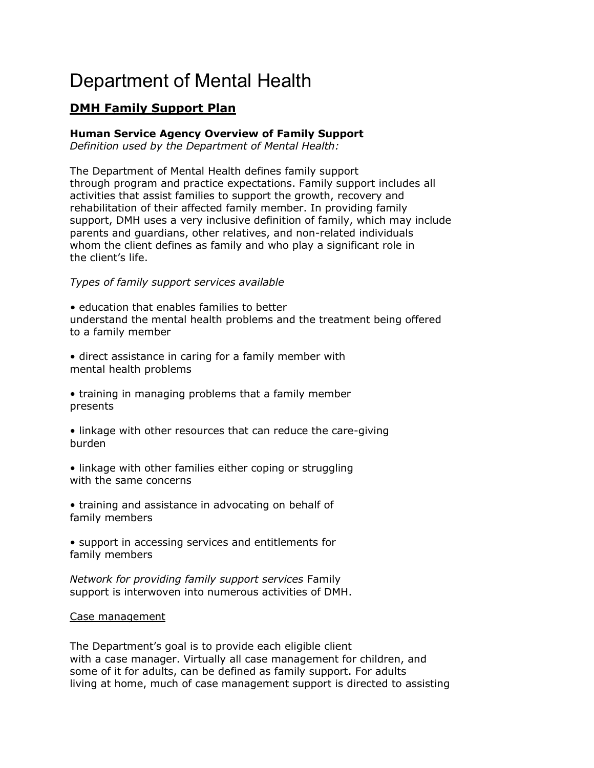# Department of Mental Health

# **DMH Family Support Plan**

# **Human Service Agency Overview of Family Support**

*Definition used by the Department of Mental Health:*

The Department of Mental Health defines family support through program and practice expectations. Family support includes all activities that assist families to support the growth, recovery and rehabilitation of their affected family member. In providing family support, DMH uses a very inclusive definition of family, which may include parents and guardians, other relatives, and non-related individuals whom the client defines as family and who play a significant role in the client's life.

# *Types of family support services available*

*•* education that enables families to better understand the mental health problems and the treatment being offered to a family member

• direct assistance in caring for a family member with mental health problems

- training in managing problems that a family member presents
- linkage with other resources that can reduce the care-giving burden
- linkage with other families either coping or struggling with the same concerns
- training and assistance in advocating on behalf of family members

• support in accessing services and entitlements for family members

*Network for providing family support services* Family support is interwoven into numerous activities of DMH.

# Case management

The Department's goal is to provide each eligible client with a case manager. Virtually all case management for children, and some of it for adults, can be defined as family support. For adults living at home, much of case management support is directed to assisting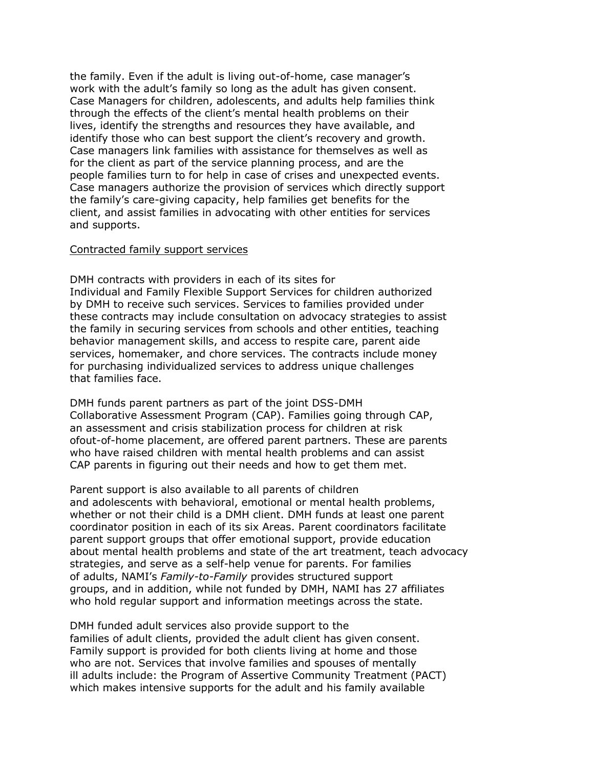the family. Even if the adult is living out-of-home, case manager's work with the adult's family so long as the adult has given consent. Case Managers for children, adolescents, and adults help families think through the effects of the client's mental health problems on their lives, identify the strengths and resources they have available, and identify those who can best support the client's recovery and growth. Case managers link families with assistance for themselves as well as for the client as part of the service planning process, and are the people families turn to for help in case of crises and unexpected events. Case managers authorize the provision of services which directly support the family's care-giving capacity, help families get benefits for the client, and assist families in advocating with other entities for services and supports.

#### Contracted family support services

DMH contracts with providers in each of its sites for Individual and Family Flexible Support Services for children authorized by DMH to receive such services. Services to families provided under these contracts may include consultation on advocacy strategies to assist the family in securing services from schools and other entities, teaching behavior management skills, and access to respite care, parent aide services, homemaker, and chore services. The contracts include money for purchasing individualized services to address unique challenges that families face.

DMH funds parent partners as part of the joint DSS-DMH Collaborative Assessment Program (CAP). Families going through CAP, an assessment and crisis stabilization process for children at risk ofout-of-home placement, are offered parent partners. These are parents who have raised children with mental health problems and can assist CAP parents in figuring out their needs and how to get them met.

Parent support is also available to all parents of children and adolescents with behavioral, emotional or mental health problems, whether or not their child is a DMH client. DMH funds at least one parent coordinator position in each of its six Areas. Parent coordinators facilitate parent support groups that offer emotional support, provide education about mental health problems and state of the art treatment, teach advocacy strategies, and serve as a self-help venue for parents. For families of adults, NAMI's *Family-to-Family* provides structured support groups, and in addition, while not funded by DMH, NAMI has 27 affiliates who hold regular support and information meetings across the state.

DMH funded adult services also provide support to the families of adult clients, provided the adult client has given consent. Family support is provided for both clients living at home and those who are not. Services that involve families and spouses of mentally ill adults include: the Program of Assertive Community Treatment (PACT) which makes intensive supports for the adult and his family available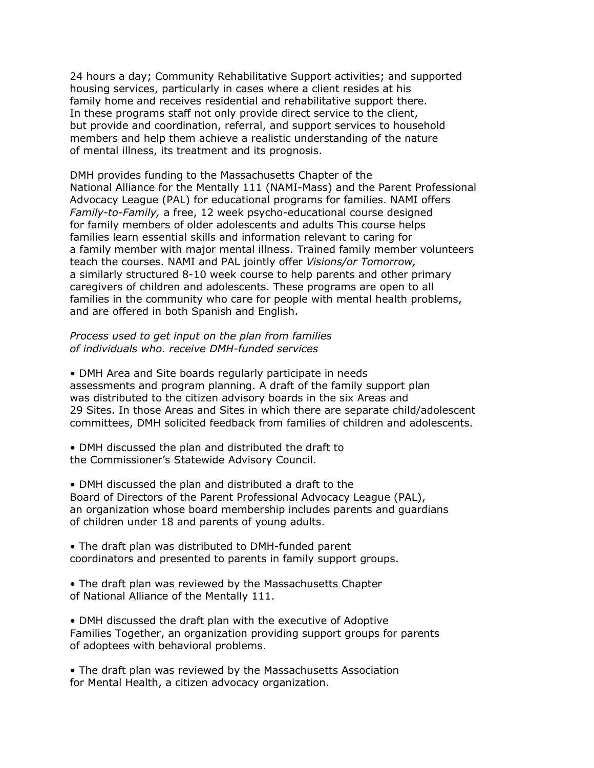24 hours a day; Community Rehabilitative Support activities; and supported housing services, particularly in cases where a client resides at his family home and receives residential and rehabilitative support there. In these programs staff not only provide direct service to the client, but provide and coordination, referral, and support services to household members and help them achieve a realistic understanding of the nature of mental illness, its treatment and its prognosis.

DMH provides funding to the Massachusetts Chapter of the National Alliance for the Mentally 111 (NAMI-Mass) and the Parent Professional Advocacy League (PAL) for educational programs for families. NAMI offers *Family-to-Family,* a free, 12 week psycho-educational course designed for family members of older adolescents and adults This course helps families learn essential skills and information relevant to caring for a family member with major mental illness. Trained family member volunteers teach the courses. NAMI and PAL jointly offer *Visions/or Tomorrow,* a similarly structured 8-10 week course to help parents and other primary caregivers of children and adolescents. These programs are open to all families in the community who care for people with mental health problems, and are offered in both Spanish and English.

# *Process used to get input on the plan from families of individuals who. receive DMH-funded services*

• DMH Area and Site boards regularly participate in needs assessments and program planning. A draft of the family support plan was distributed to the citizen advisory boards in the six Areas and 29 Sites. In those Areas and Sites in which there are separate child/adolescent committees, DMH solicited feedback from families of children and adolescents.

• DMH discussed the plan and distributed the draft to the Commissioner's Statewide Advisory Council.

• DMH discussed the plan and distributed a draft to the Board of Directors of the Parent Professional Advocacy League (PAL), an organization whose board membership includes parents and guardians of children under 18 and parents of young adults.

• The draft plan was distributed to DMH-funded parent coordinators and presented to parents in family support groups.

• The draft plan was reviewed by the Massachusetts Chapter of National Alliance of the Mentally 111.

• DMH discussed the draft plan with the executive of Adoptive Families Together, an organization providing support groups for parents of adoptees with behavioral problems.

• The draft plan was reviewed by the Massachusetts Association for Mental Health, a citizen advocacy organization.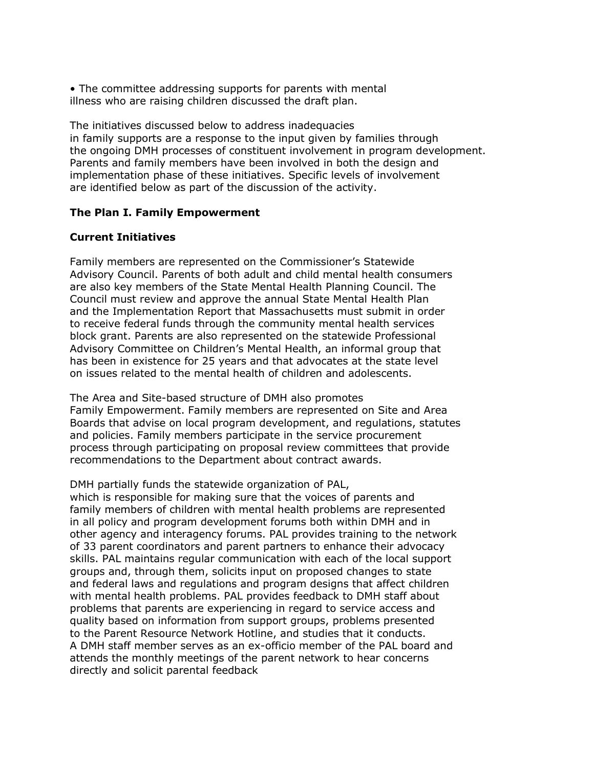• The committee addressing supports for parents with mental illness who are raising children discussed the draft plan.

The initiatives discussed below to address inadequacies in family supports are a response to the input given by families through the ongoing DMH processes of constituent involvement in program development. Parents and family members have been involved in both the design and implementation phase of these initiatives. Specific levels of involvement are identified below as part of the discussion of the activity.

#### **The Plan I. Family Empowerment**

## **Current Initiatives**

Family members are represented on the Commissioner's Statewide Advisory Council. Parents of both adult and child mental health consumers are also key members of the State Mental Health Planning Council. The Council must review and approve the annual State Mental Health Plan and the Implementation Report that Massachusetts must submit in order to receive federal funds through the community mental health services block grant. Parents are also represented on the statewide Professional Advisory Committee on Children's Mental Health, an informal group that has been in existence for 25 years and that advocates at the state level on issues related to the mental health of children and adolescents.

The Area and Site-based structure of DMH also promotes Family Empowerment. Family members are represented on Site and Area Boards that advise on local program development, and regulations, statutes and policies. Family members participate in the service procurement process through participating on proposal review committees that provide recommendations to the Department about contract awards.

DMH partially funds the statewide organization of PAL,

which is responsible for making sure that the voices of parents and family members of children with mental health problems are represented in all policy and program development forums both within DMH and in other agency and interagency forums. PAL provides training to the network of 33 parent coordinators and parent partners to enhance their advocacy skills. PAL maintains regular communication with each of the local support groups and, through them, solicits input on proposed changes to state and federal laws and regulations and program designs that affect children with mental health problems. PAL provides feedback to DMH staff about problems that parents are experiencing in regard to service access and quality based on information from support groups, problems presented to the Parent Resource Network Hotline, and studies that it conducts. A DMH staff member serves as an ex-officio member of the PAL board and attends the monthly meetings of the parent network to hear concerns directly and solicit parental feedback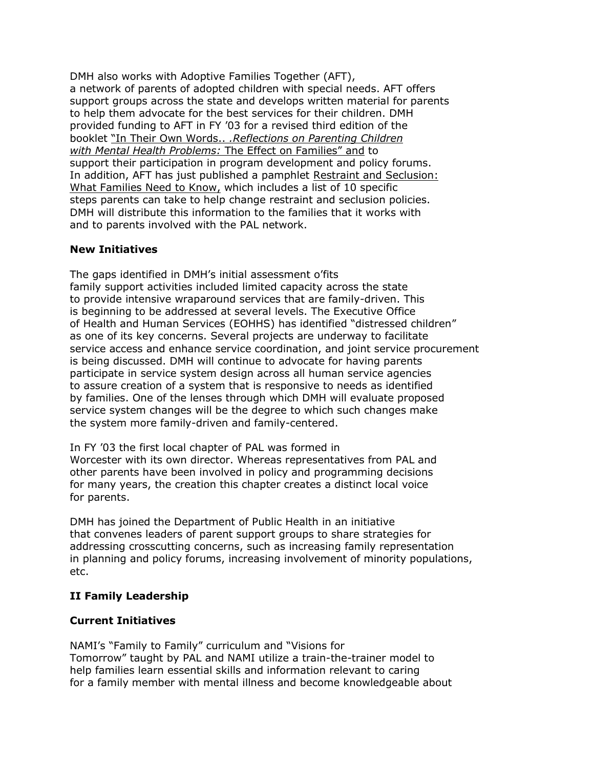DMH also works with Adoptive Families Together (AFT), a network of parents of adopted children with special needs. AFT offers support groups across the state and develops written material for parents to help them advocate for the best services for their children. DMH provided funding to AFT in FY '03 for a revised third edition of the booklet "In Their Own Words.. *.Reflections on Parenting Children with Mental Health Problems:* The Effect on Families" and to support their participation in program development and policy forums. In addition, AFT has just published a pamphlet Restraint and Seclusion: What Families Need to Know, which includes a list of 10 specific steps parents can take to help change restraint and seclusion policies. DMH will distribute this information to the families that it works with and to parents involved with the PAL network.

# **New Initiatives**

The gaps identified in DMH's initial assessment o'fits family support activities included limited capacity across the state to provide intensive wraparound services that are family-driven. This is beginning to be addressed at several levels. The Executive Office of Health and Human Services (EOHHS) has identified "distressed children" as one of its key concerns. Several projects are underway to facilitate service access and enhance service coordination, and joint service procurement is being discussed. DMH will continue to advocate for having parents participate in service system design across all human service agencies to assure creation of a system that is responsive to needs as identified by families. One of the lenses through which DMH will evaluate proposed service system changes will be the degree to which such changes make the system more family-driven and family-centered.

In FY '03 the first local chapter of PAL was formed in Worcester with its own director. Whereas representatives from PAL and other parents have been involved in policy and programming decisions for many years, the creation this chapter creates a distinct local voice for parents.

DMH has joined the Department of Public Health in an initiative that convenes leaders of parent support groups to share strategies for addressing crosscutting concerns, such as increasing family representation in planning and policy forums, increasing involvement of minority populations, etc.

# **II Family Leadership**

# **Current Initiatives**

NAMI's "Family to Family" curriculum and "Visions for Tomorrow" taught by PAL and NAMI utilize a train-the-trainer model to help families learn essential skills and information relevant to caring for a family member with mental illness and become knowledgeable about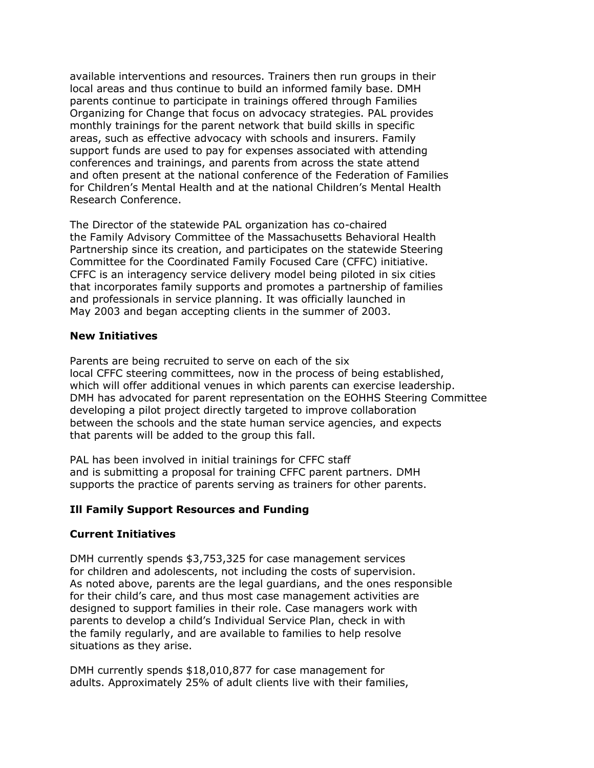available interventions and resources. Trainers then run groups in their local areas and thus continue to build an informed family base. DMH parents continue to participate in trainings offered through Families Organizing for Change that focus on advocacy strategies. PAL provides monthly trainings for the parent network that build skills in specific areas, such as effective advocacy with schools and insurers. Family support funds are used to pay for expenses associated with attending conferences and trainings, and parents from across the state attend and often present at the national conference of the Federation of Families for Children's Mental Health and at the national Children's Mental Health Research Conference.

The Director of the statewide PAL organization has co-chaired the Family Advisory Committee of the Massachusetts Behavioral Health Partnership since its creation, and participates on the statewide Steering Committee for the Coordinated Family Focused Care (CFFC) initiative. CFFC is an interagency service delivery model being piloted in six cities that incorporates family supports and promotes a partnership of families and professionals in service planning. It was officially launched in May 2003 and began accepting clients in the summer of 2003.

# **New Initiatives**

Parents are being recruited to serve on each of the six local CFFC steering committees, now in the process of being established, which will offer additional venues in which parents can exercise leadership. DMH has advocated for parent representation on the EOHHS Steering Committee developing a pilot project directly targeted to improve collaboration between the schools and the state human service agencies, and expects that parents will be added to the group this fall.

PAL has been involved in initial trainings for CFFC staff and is submitting a proposal for training CFFC parent partners. DMH supports the practice of parents serving as trainers for other parents.

# **Ill Family Support Resources and Funding**

#### **Current Initiatives**

DMH currently spends \$3,753,325 for case management services for children and adolescents, not including the costs of supervision. As noted above, parents are the legal guardians, and the ones responsible for their child's care, and thus most case management activities are designed to support families in their role. Case managers work with parents to develop a child's Individual Service Plan, check in with the family regularly, and are available to families to help resolve situations as they arise.

DMH currently spends \$18,010,877 for case management for adults. Approximately 25% of adult clients live with their families,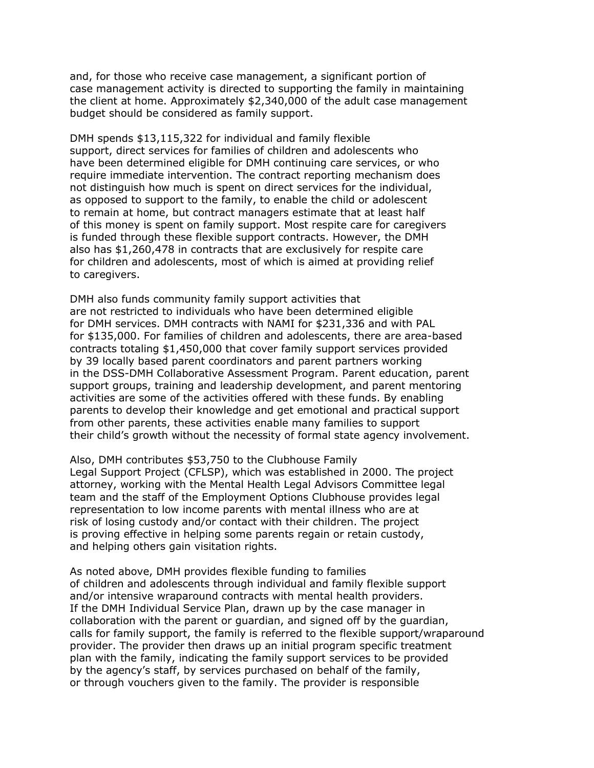and, for those who receive case management, a significant portion of case management activity is directed to supporting the family in maintaining the client at home. Approximately \$2,340,000 of the adult case management budget should be considered as family support.

DMH spends \$13,115,322 for individual and family flexible support, direct services for families of children and adolescents who have been determined eligible for DMH continuing care services, or who require immediate intervention. The contract reporting mechanism does not distinguish how much is spent on direct services for the individual, as opposed to support to the family, to enable the child or adolescent to remain at home, but contract managers estimate that at least half of this money is spent on family support. Most respite care for caregivers is funded through these flexible support contracts. However, the DMH also has \$1,260,478 in contracts that are exclusively for respite care for children and adolescents, most of which is aimed at providing relief to caregivers.

DMH also funds community family support activities that are not restricted to individuals who have been determined eligible for DMH services. DMH contracts with NAMI for \$231,336 and with PAL for \$135,000. For families of children and adolescents, there are area-based contracts totaling \$1,450,000 that cover family support services provided by 39 locally based parent coordinators and parent partners working in the DSS-DMH Collaborative Assessment Program. Parent education, parent support groups, training and leadership development, and parent mentoring activities are some of the activities offered with these funds. By enabling parents to develop their knowledge and get emotional and practical support from other parents, these activities enable many families to support their child's growth without the necessity of formal state agency involvement.

Also, DMH contributes \$53,750 to the Clubhouse Family Legal Support Project (CFLSP), which was established in 2000. The project attorney, working with the Mental Health Legal Advisors Committee legal team and the staff of the Employment Options Clubhouse provides legal representation to low income parents with mental illness who are at risk of losing custody and/or contact with their children. The project is proving effective in helping some parents regain or retain custody, and helping others gain visitation rights.

As noted above, DMH provides flexible funding to families of children and adolescents through individual and family flexible support and/or intensive wraparound contracts with mental health providers. If the DMH Individual Service Plan, drawn up by the case manager in collaboration with the parent or guardian, and signed off by the guardian, calls for family support, the family is referred to the flexible support/wraparound provider. The provider then draws up an initial program specific treatment plan with the family, indicating the family support services to be provided by the agency's staff, by services purchased on behalf of the family, or through vouchers given to the family. The provider is responsible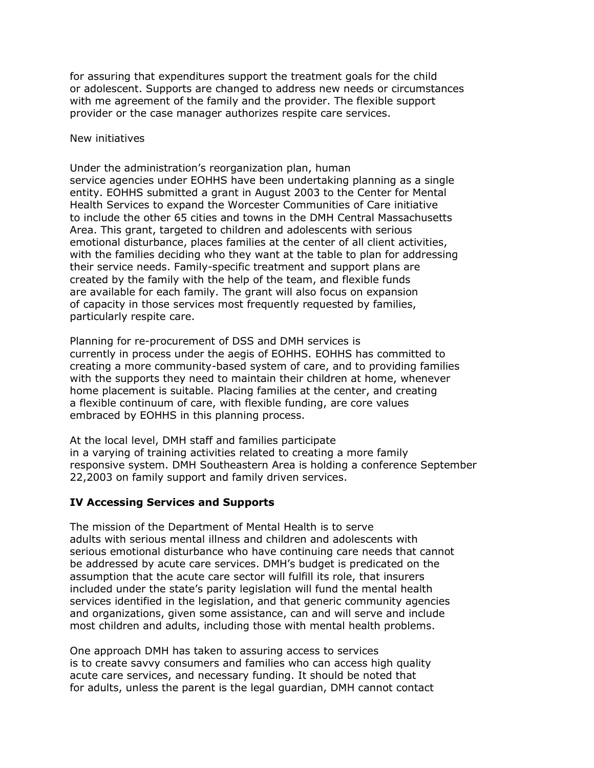for assuring that expenditures support the treatment goals for the child or adolescent. Supports are changed to address new needs or circumstances with me agreement of the family and the provider. The flexible support provider or the case manager authorizes respite care services.

#### New initiatives

Under the administration's reorganization plan, human service agencies under EOHHS have been undertaking planning as a single entity. EOHHS submitted a grant in August 2003 to the Center for Mental Health Services to expand the Worcester Communities of Care initiative to include the other 65 cities and towns in the DMH Central Massachusetts Area. This grant, targeted to children and adolescents with serious emotional disturbance, places families at the center of all client activities, with the families deciding who they want at the table to plan for addressing their service needs. Family-specific treatment and support plans are created by the family with the help of the team, and flexible funds are available for each family. The grant will also focus on expansion of capacity in those services most frequently requested by families, particularly respite care.

Planning for re-procurement of DSS and DMH services is currently in process under the aegis of EOHHS. EOHHS has committed to creating a more community-based system of care, and to providing families with the supports they need to maintain their children at home, whenever home placement is suitable. Placing families at the center, and creating a flexible continuum of care, with flexible funding, are core values embraced by EOHHS in this planning process.

At the local level, DMH staff and families participate in a varying of training activities related to creating a more family responsive system. DMH Southeastern Area is holding a conference September 22,2003 on family support and family driven services.

#### **IV Accessing Services and Supports**

The mission of the Department of Mental Health is to serve adults with serious mental illness and children and adolescents with serious emotional disturbance who have continuing care needs that cannot be addressed by acute care services. DMH's budget is predicated on the assumption that the acute care sector will fulfill its role, that insurers included under the state's parity legislation will fund the mental health services identified in the legislation, and that generic community agencies and organizations, given some assistance, can and will serve and include most children and adults, including those with mental health problems.

One approach DMH has taken to assuring access to services is to create savvy consumers and families who can access high quality acute care services, and necessary funding. It should be noted that for adults, unless the parent is the legal guardian, DMH cannot contact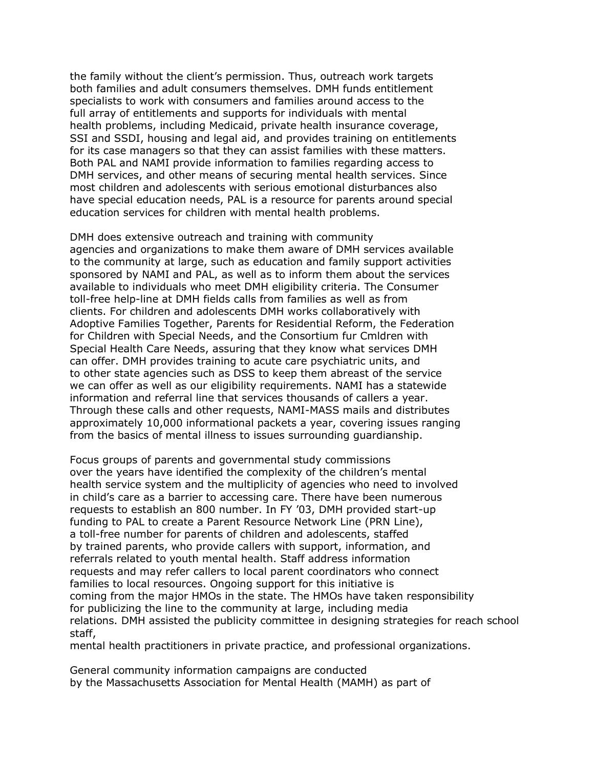the family without the client's permission. Thus, outreach work targets both families and adult consumers themselves. DMH funds entitlement specialists to work with consumers and families around access to the full array of entitlements and supports for individuals with mental health problems, including Medicaid, private health insurance coverage, SSI and SSDI, housing and legal aid, and provides training on entitlements for its case managers so that they can assist families with these matters. Both PAL and NAMI provide information to families regarding access to DMH services, and other means of securing mental health services. Since most children and adolescents with serious emotional disturbances also have special education needs, PAL is a resource for parents around special education services for children with mental health problems.

DMH does extensive outreach and training with community agencies and organizations to make them aware of DMH services available to the community at large, such as education and family support activities sponsored by NAMI and PAL, as well as to inform them about the services available to individuals who meet DMH eligibility criteria. The Consumer toll-free help-line at DMH fields calls from families as well as from clients. For children and adolescents DMH works collaboratively with Adoptive Families Together, Parents for Residential Reform, the Federation for Children with Special Needs, and the Consortium fur Cmldren with Special Health Care Needs, assuring that they know what services DMH can offer. DMH provides training to acute care psychiatric units, and to other state agencies such as DSS to keep them abreast of the service we can offer as well as our eligibility requirements. NAMI has a statewide information and referral line that services thousands of callers a year. Through these calls and other requests, NAMI-MASS mails and distributes approximately 10,000 informational packets a year, covering issues ranging from the basics of mental illness to issues surrounding guardianship.

Focus groups of parents and governmental study commissions over the years have identified the complexity of the children's mental health service system and the multiplicity of agencies who need to involved in child's care as a barrier to accessing care. There have been numerous requests to establish an 800 number. In FY '03, DMH provided start-up funding to PAL to create a Parent Resource Network Line (PRN Line), a toll-free number for parents of children and adolescents, staffed by trained parents, who provide callers with support, information, and referrals related to youth mental health. Staff address information requests and may refer callers to local parent coordinators who connect families to local resources. Ongoing support for this initiative is coming from the major HMOs in the state. The HMOs have taken responsibility for publicizing the line to the community at large, including media relations. DMH assisted the publicity committee in designing strategies for reach school staff,

mental health practitioners in private practice, and professional organizations.

General community information campaigns are conducted by the Massachusetts Association for Mental Health (MAMH) as part of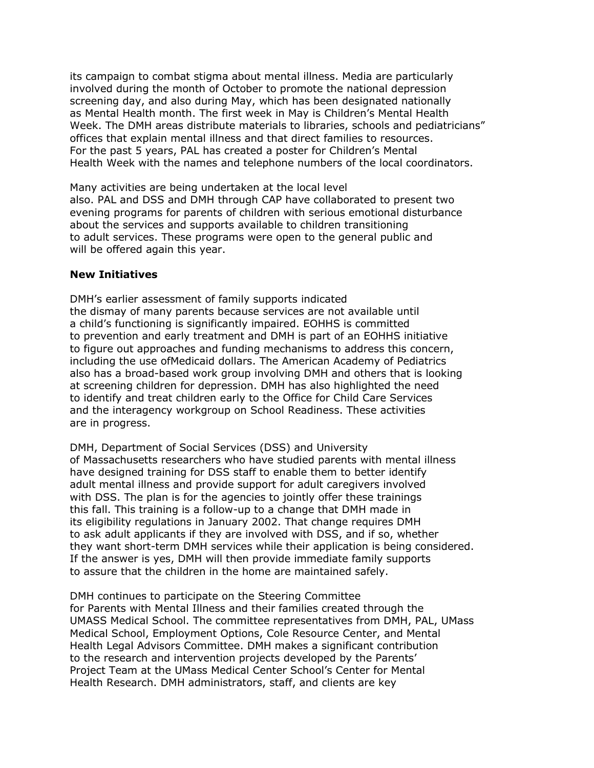its campaign to combat stigma about mental illness. Media are particularly involved during the month of October to promote the national depression screening day, and also during May, which has been designated nationally as Mental Health month. The first week in May is Children's Mental Health Week. The DMH areas distribute materials to libraries, schools and pediatricians" offices that explain mental illness and that direct families to resources. For the past 5 years, PAL has created a poster for Children's Mental Health Week with the names and telephone numbers of the local coordinators.

Many activities are being undertaken at the local level also. PAL and DSS and DMH through CAP have collaborated to present two evening programs for parents of children with serious emotional disturbance about the services and supports available to children transitioning to adult services. These programs were open to the general public and will be offered again this year.

## **New Initiatives**

DMH's earlier assessment of family supports indicated the dismay of many parents because services are not available until a child's functioning is significantly impaired. EOHHS is committed to prevention and early treatment and DMH is part of an EOHHS initiative to figure out approaches and funding mechanisms to address this concern, including the use ofMedicaid dollars. The American Academy of Pediatrics also has a broad-based work group involving DMH and others that is looking at screening children for depression. DMH has also highlighted the need to identify and treat children early to the Office for Child Care Services and the interagency workgroup on School Readiness. These activities are in progress.

DMH, Department of Social Services (DSS) and University of Massachusetts researchers who have studied parents with mental illness have designed training for DSS staff to enable them to better identify adult mental illness and provide support for adult caregivers involved with DSS. The plan is for the agencies to jointly offer these trainings this fall. This training is a follow-up to a change that DMH made in its eligibility regulations in January 2002. That change requires DMH to ask adult applicants if they are involved with DSS, and if so, whether they want short-term DMH services while their application is being considered. If the answer is yes, DMH will then provide immediate family supports to assure that the children in the home are maintained safely.

DMH continues to participate on the Steering Committee for Parents with Mental Illness and their families created through the UMASS Medical School. The committee representatives from DMH, PAL, UMass Medical School, Employment Options, Cole Resource Center, and Mental Health Legal Advisors Committee. DMH makes a significant contribution to the research and intervention projects developed by the Parents' Project Team at the UMass Medical Center School's Center for Mental Health Research. DMH administrators, staff, and clients are key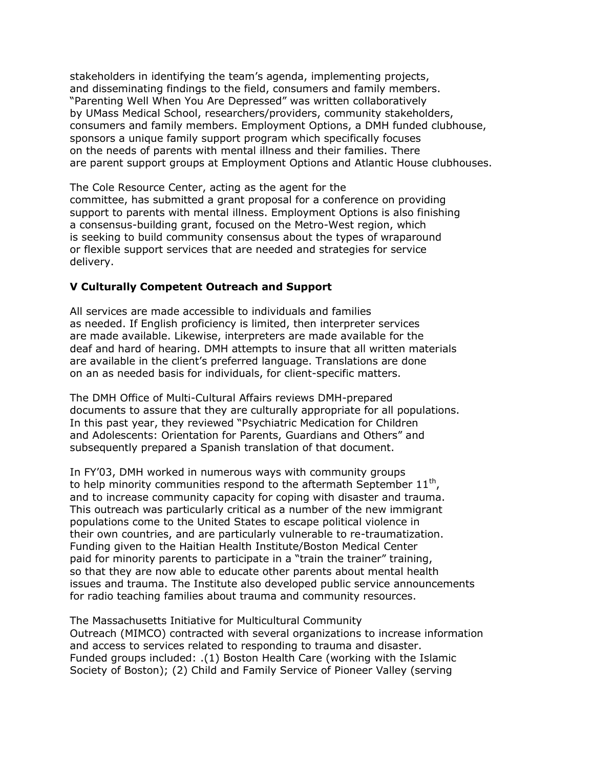stakeholders in identifying the team's agenda, implementing projects, and disseminating findings to the field, consumers and family members. "Parenting Well When You Are Depressed" was written collaboratively by UMass Medical School, researchers/providers, community stakeholders, consumers and family members. Employment Options, a DMH funded clubhouse, sponsors a unique family support program which specifically focuses on the needs of parents with mental illness and their families. There are parent support groups at Employment Options and Atlantic House clubhouses.

The Cole Resource Center, acting as the agent for the committee, has submitted a grant proposal for a conference on providing support to parents with mental illness. Employment Options is also finishing a consensus-building grant, focused on the Metro-West region, which is seeking to build community consensus about the types of wraparound or flexible support services that are needed and strategies for service delivery.

# **V Culturally Competent Outreach and Support**

All services are made accessible to individuals and families as needed. If English proficiency is limited, then interpreter services are made available. Likewise, interpreters are made available for the deaf and hard of hearing. DMH attempts to insure that all written materials are available in the client's preferred language. Translations are done on an as needed basis for individuals, for client-specific matters.

The DMH Office of Multi-Cultural Affairs reviews DMH-prepared documents to assure that they are culturally appropriate for all populations. In this past year, they reviewed "Psychiatric Medication for Children and Adolescents: Orientation for Parents, Guardians and Others" and subsequently prepared a Spanish translation of that document.

In FY'03, DMH worked in numerous ways with community groups to help minority communities respond to the aftermath September  $11<sup>th</sup>$ , and to increase community capacity for coping with disaster and trauma. This outreach was particularly critical as a number of the new immigrant populations come to the United States to escape political violence in their own countries, and are particularly vulnerable to re-traumatization. Funding given to the Haitian Health Institute/Boston Medical Center paid for minority parents to participate in a "train the trainer" training, so that they are now able to educate other parents about mental health issues and trauma. The Institute also developed public service announcements for radio teaching families about trauma and community resources.

The Massachusetts Initiative for Multicultural Community Outreach (MIMCO) contracted with several organizations to increase information and access to services related to responding to trauma and disaster. Funded groups included: .(1) Boston Health Care (working with the Islamic Society of Boston); (2) Child and Family Service of Pioneer Valley (serving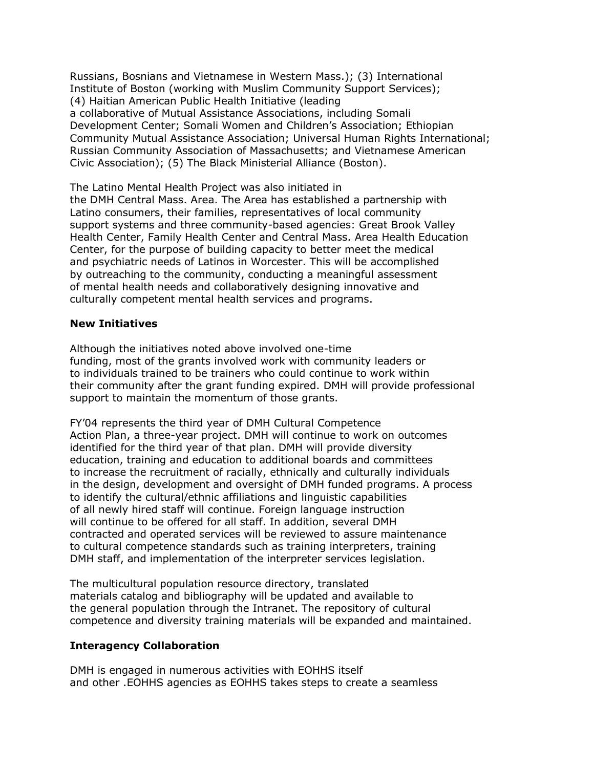Russians, Bosnians and Vietnamese in Western Mass.); (3) International Institute of Boston (working with Muslim Community Support Services); (4) Haitian American Public Health Initiative (leading a collaborative of Mutual Assistance Associations, including Somali Development Center; Somali Women and Children's Association; Ethiopian Community Mutual Assistance Association; Universal Human Rights International; Russian Community Association of Massachusetts; and Vietnamese American Civic Association); (5) The Black Ministerial Alliance (Boston).

The Latino Mental Health Project was also initiated in the DMH Central Mass. Area. The Area has established a partnership with Latino consumers, their families, representatives of local community support systems and three community-based agencies: Great Brook Valley Health Center, Family Health Center and Central Mass. Area Health Education Center, for the purpose of building capacity to better meet the medical and psychiatric needs of Latinos in Worcester. This will be accomplished by outreaching to the community, conducting a meaningful assessment of mental health needs and collaboratively designing innovative and culturally competent mental health services and programs.

## **New Initiatives**

Although the initiatives noted above involved one-time funding, most of the grants involved work with community leaders or to individuals trained to be trainers who could continue to work within their community after the grant funding expired. DMH will provide professional support to maintain the momentum of those grants.

FY'04 represents the third year of DMH Cultural Competence Action Plan, a three-year project. DMH will continue to work on outcomes identified for the third year of that plan. DMH will provide diversity education, training and education to additional boards and committees to increase the recruitment of racially, ethnically and culturally individuals in the design, development and oversight of DMH funded programs. A process to identify the cultural/ethnic affiliations and linguistic capabilities of all newly hired staff will continue. Foreign language instruction will continue to be offered for all staff. In addition, several DMH contracted and operated services will be reviewed to assure maintenance to cultural competence standards such as training interpreters, training DMH staff, and implementation of the interpreter services legislation.

The multicultural population resource directory, translated materials catalog and bibliography will be updated and available to the general population through the Intranet. The repository of cultural competence and diversity training materials will be expanded and maintained.

# **Interagency Collaboration**

DMH is engaged in numerous activities with EOHHS itself and other .EOHHS agencies as EOHHS takes steps to create a seamless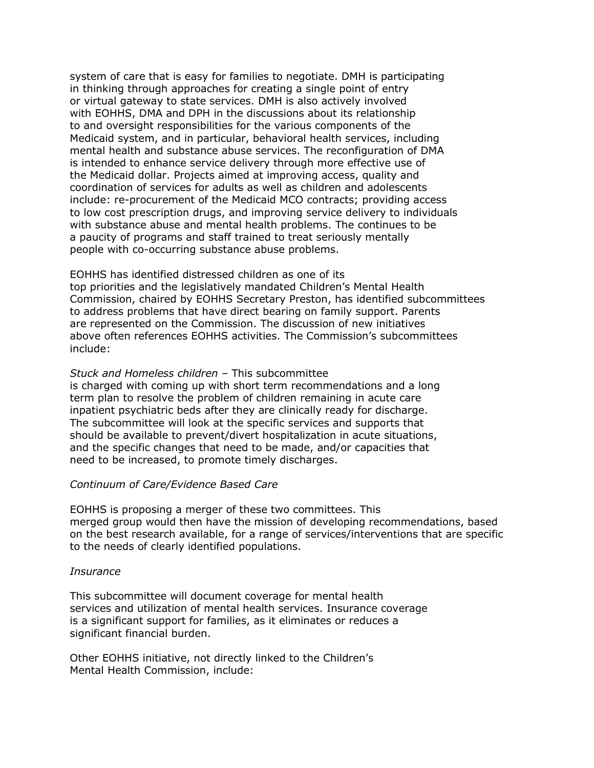system of care that is easy for families to negotiate. DMH is participating in thinking through approaches for creating a single point of entry or virtual gateway to state services. DMH is also actively involved with EOHHS, DMA and DPH in the discussions about its relationship to and oversight responsibilities for the various components of the Medicaid system, and in particular, behavioral health services, including mental health and substance abuse services. The reconfiguration of DMA is intended to enhance service delivery through more effective use of the Medicaid dollar. Projects aimed at improving access, quality and coordination of services for adults as well as children and adolescents include: re-procurement of the Medicaid MCO contracts; providing access to low cost prescription drugs, and improving service delivery to individuals with substance abuse and mental health problems. The continues to be a paucity of programs and staff trained to treat seriously mentally people with co-occurring substance abuse problems.

EOHHS has identified distressed children as one of its

top priorities and the legislatively mandated Children's Mental Health Commission, chaired by EOHHS Secretary Preston, has identified subcommittees to address problems that have direct bearing on family support. Parents are represented on the Commission. The discussion of new initiatives above often references EOHHS activities. The Commission's subcommittees include:

# *Stuck and Homeless children –* This subcommittee

is charged with coming up with short term recommendations and a long term plan to resolve the problem of children remaining in acute care inpatient psychiatric beds after they are clinically ready for discharge. The subcommittee will look at the specific services and supports that should be available to prevent/divert hospitalization in acute situations, and the specific changes that need to be made, and/or capacities that need to be increased, to promote timely discharges.

# *Continuum of Care/Evidence Based Care*

EOHHS is proposing a merger of these two committees. This merged group would then have the mission of developing recommendations, based on the best research available, for a range of services/interventions that are specific to the needs of clearly identified populations.

#### *Insurance*

This subcommittee will document coverage for mental health services and utilization of mental health services. Insurance coverage is a significant support for families, as it eliminates or reduces a significant financial burden.

Other EOHHS initiative, not directly linked to the Children's Mental Health Commission, include: